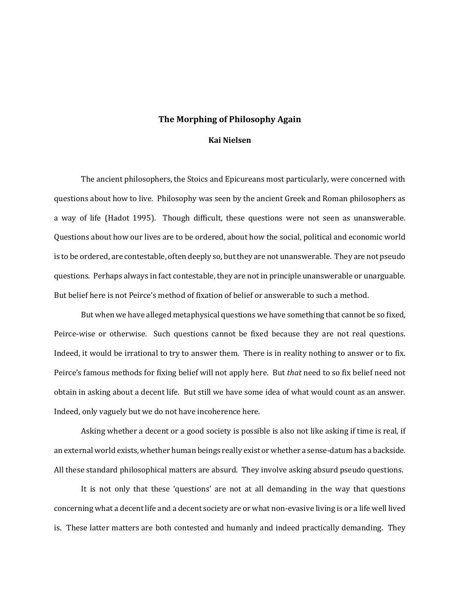## **The Morphing of Philosophy Again**

## **Kai Nielsen**

The ancient philosophers, the Stoics and Epicureans most particularly, were concerned with questions about how to live. Philosophy was seen by the ancient Greek and Roman philosophers as a way of life (Hadot 1995). Though difficult, these questions were not seen as unanswerable. Questions about how our lives are to be ordered, about how the social, political and economic world is to be ordered, are contestable, often deeply so, but they are not unanswerable. They are not pseudo questions. Perhaps always in fact contestable, they are not in principle unanswerable or unarguable. But belief here is not Peirce's method of fixation of belief or answerable to such a method.

But when we have alleged metaphysical questions we have something that cannot be so fixed, Peirce-wise or otherwise. Such questions cannot be fixed because they are not real questions. Indeed, it would be irrational to try to answer them. There is in reality nothing to answer or to fix. Peirce's famous methods for fixing belief will not apply here. But *that* need to so fix belief need not obtain in asking about a decent life. But still we have some idea of what would count as an answer. Indeed, only vaguely but we do not have incoherence here.

Asking whether a decent or a good society is possible is also not like asking if time is real, if an external world exists, whether human beings really exist or whether a sense-datum has a backside. All these standard philosophical matters are absurd. They involve asking absurd pseudo questions.

It is not only that these 'questions' are not at all demanding in the way that questions concerning what a decent life and a decent society are or what non-evasive living is or a life well lived is. These latter matters are both contested and humanly and indeed practically demanding. They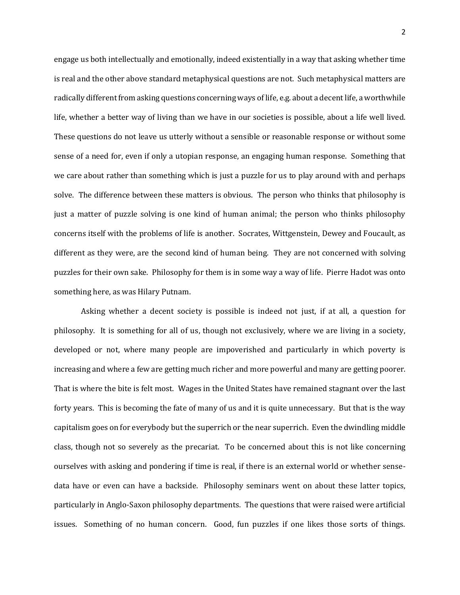engage us both intellectually and emotionally, indeed existentially in a way that asking whether time is real and the other above standard metaphysical questions are not. Such metaphysical matters are radically different from asking questions concerning ways of life, e.g. about a decent life, a worthwhile life, whether a better way of living than we have in our societies is possible, about a life well lived. These questions do not leave us utterly without a sensible or reasonable response or without some sense of a need for, even if only a utopian response, an engaging human response. Something that we care about rather than something which is just a puzzle for us to play around with and perhaps solve. The difference between these matters is obvious. The person who thinks that philosophy is just a matter of puzzle solving is one kind of human animal; the person who thinks philosophy concerns itself with the problems of life is another. Socrates, Wittgenstein, Dewey and Foucault, as different as they were, are the second kind of human being. They are not concerned with solving puzzles for their own sake. Philosophy for them is in some way a way of life. Pierre Hadot was onto something here, as was Hilary Putnam.

Asking whether a decent society is possible is indeed not just, if at all, a question for philosophy. It is something for all of us, though not exclusively, where we are living in a society, developed or not, where many people are impoverished and particularly in which poverty is increasing and where a few are getting much richer and more powerful and many are getting poorer. That is where the bite is felt most. Wages in the United States have remained stagnant over the last forty years. This is becoming the fate of many of us and it is quite unnecessary. But that is the way capitalism goes on for everybody but the superrich or the near superrich. Even the dwindling middle class, though not so severely as the precariat. To be concerned about this is not like concerning ourselves with asking and pondering if time is real, if there is an external world or whether sensedata have or even can have a backside. Philosophy seminars went on about these latter topics, particularly in Anglo-Saxon philosophy departments. The questions that were raised were artificial issues. Something of no human concern. Good, fun puzzles if one likes those sorts of things.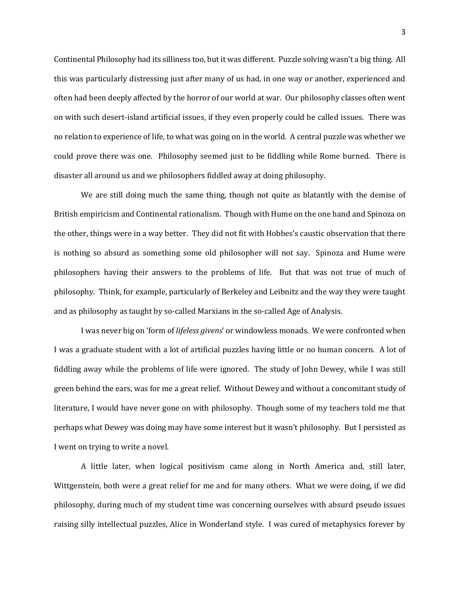Continental Philosophy had its silliness too, but it was different. Puzzle solving wasn't a big thing. All this was particularly distressing just after many of us had, in one way or another, experienced and often had been deeply affected by the horror of our world at war. Our philosophy classes often went on with such desert-island artificial issues, if they even properly could be called issues. There was no relation to experience of life, to what was going on in the world. A central puzzle was whether we could prove there was one. Philosophy seemed just to be fiddling while Rome burned. There is disaster all around us and we philosophers fiddled away at doing philosophy.

We are still doing much the same thing, though not quite as blatantly with the demise of British empiricism and Continental rationalism. Though with Hume on the one hand and Spinoza on the other, things were in a way better. They did not fit with Hobbes's caustic observation that there is nothing so absurd as something some old philosopher will not say. Spinoza and Hume were philosophers having their answers to the problems of life. But that was not true of much of philosophy. Think, for example, particularly of Berkeley and Leibnitz and the way they were taught and as philosophy as taught by so-called Marxians in the so-called Age of Analysis.

I was never big on 'form of *lifeless givens*' or windowless monads. We were confronted when I was a graduate student with a lot of artificial puzzles having little or no human concern. A lot of fiddling away while the problems of life were ignored. The study of John Dewey, while I was still green behind the ears, was for me a great relief. Without Dewey and without a concomitant study of literature, I would have never gone on with philosophy. Though some of my teachers told me that perhaps what Dewey was doing may have some interest but it wasn't philosophy. But I persisted as I went on trying to write a novel.

A little later, when logical positivism came along in North America and, still later, Wittgenstein, both were a great relief for me and for many others. What we were doing, if we did philosophy, during much of my student time was concerning ourselves with absurd pseudo issues raising silly intellectual puzzles, Alice in Wonderland style. I was cured of metaphysics forever by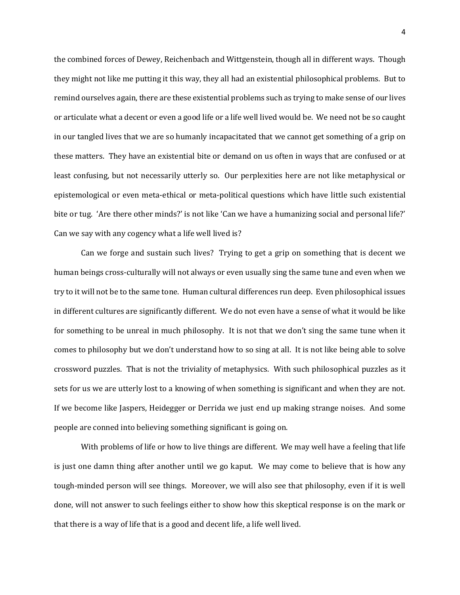the combined forces of Dewey, Reichenbach and Wittgenstein, though all in different ways. Though they might not like me putting it this way, they all had an existential philosophical problems. But to remind ourselves again, there are these existential problems such as trying to make sense of our lives or articulate what a decent or even a good life or a life well lived would be. We need not be so caught in our tangled lives that we are so humanly incapacitated that we cannot get something of a grip on these matters. They have an existential bite or demand on us often in ways that are confused or at least confusing, but not necessarily utterly so. Our perplexities here are not like metaphysical or epistemological or even meta-ethical or meta-political questions which have little such existential bite or tug. 'Are there other minds?' is not like 'Can we have a humanizing social and personal life?' Can we say with any cogency what a life well lived is?

Can we forge and sustain such lives? Trying to get a grip on something that is decent we human beings cross-culturally will not always or even usually sing the same tune and even when we try to it will not be to the same tone. Human cultural differences run deep. Even philosophical issues in different cultures are significantly different. We do not even have a sense of what it would be like for something to be unreal in much philosophy. It is not that we don't sing the same tune when it comes to philosophy but we don't understand how to so sing at all. It is not like being able to solve crossword puzzles. That is not the triviality of metaphysics. With such philosophical puzzles as it sets for us we are utterly lost to a knowing of when something is significant and when they are not. If we become like Jaspers, Heidegger or Derrida we just end up making strange noises. And some people are conned into believing something significant is going on.

With problems of life or how to live things are different. We may well have a feeling that life is just one damn thing after another until we go kaput. We may come to believe that is how any tough-minded person will see things. Moreover, we will also see that philosophy, even if it is well done, will not answer to such feelings either to show how this skeptical response is on the mark or that there is a way of life that is a good and decent life, a life well lived.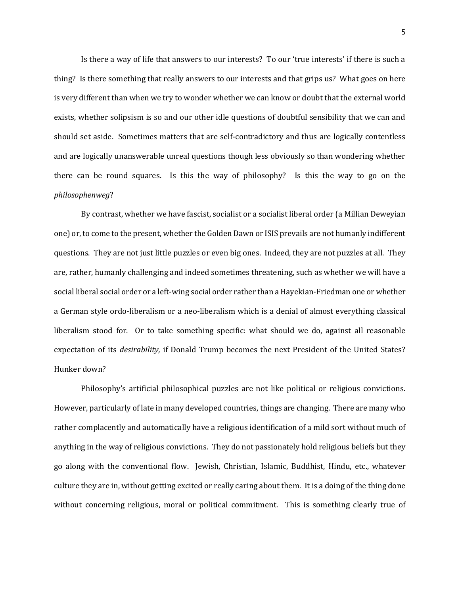Is there a way of life that answers to our interests? To our 'true interests' if there is such a thing? Is there something that really answers to our interests and that grips us? What goes on here is very different than when we try to wonder whether we can know or doubt that the external world exists, whether solipsism is so and our other idle questions of doubtful sensibility that we can and should set aside. Sometimes matters that are self-contradictory and thus are logically contentless and are logically unanswerable unreal questions though less obviously so than wondering whether there can be round squares. Is this the way of philosophy? Is this the way to go on the *philosophenweg*?

By contrast, whether we have fascist, socialist or a socialist liberal order (a Millian Deweyian one) or, to come to the present, whether the Golden Dawn or ISIS prevails are not humanly indifferent questions. They are not just little puzzles or even big ones. Indeed, they are not puzzles at all. They are, rather, humanly challenging and indeed sometimes threatening, such as whether we will have a social liberal social order or a left-wing social order rather than a Hayekian-Friedman one or whether a German style ordo-liberalism or a neo-liberalism which is a denial of almost everything classical liberalism stood for. Or to take something specific: what should we do, against all reasonable expectation of its *desirability,* if Donald Trump becomes the next President of the United States? Hunker down?

Philosophy's artificial philosophical puzzles are not like political or religious convictions. However, particularly of late in many developed countries, things are changing. There are many who rather complacently and automatically have a religious identification of a mild sort without much of anything in the way of religious convictions. They do not passionately hold religious beliefs but they go along with the conventional flow. Jewish, Christian, Islamic, Buddhist, Hindu, etc., whatever culture they are in, without getting excited or really caring about them. It is a doing of the thing done without concerning religious, moral or political commitment. This is something clearly true of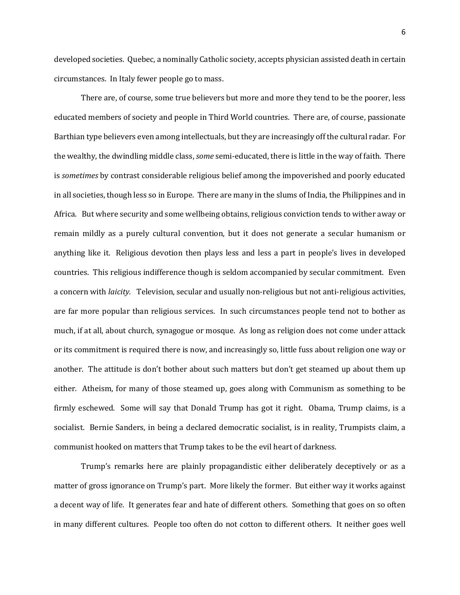developed societies. Quebec, a nominally Catholic society, accepts physician assisted death in certain circumstances. In Italy fewer people go to mass.

There are, of course, some true believers but more and more they tend to be the poorer, less educated members of society and people in Third World countries. There are, of course, passionate Barthian type believers even among intellectuals, but they are increasingly off the cultural radar. For the wealthy, the dwindling middle class, *some* semi-educated, there is little in the way of faith. There is *sometimes* by contrast considerable religious belief among the impoverished and poorly educated in all societies, though less so in Europe. There are many in the slums of India, the Philippines and in Africa. But where security and some wellbeing obtains, religious conviction tends to wither away or remain mildly as a purely cultural convention, but it does not generate a secular humanism or anything like it. Religious devotion then plays less and less a part in people's lives in developed countries. This religious indifference though is seldom accompanied by secular commitment. Even a concern with *laicity.* Television, secular and usually non-religious but not anti-religious activities, are far more popular than religious services. In such circumstances people tend not to bother as much, if at all, about church, synagogue or mosque. As long as religion does not come under attack or its commitment is required there is now, and increasingly so, little fuss about religion one way or another. The attitude is don't bother about such matters but don't get steamed up about them up either. Atheism, for many of those steamed up, goes along with Communism as something to be firmly eschewed. Some will say that Donald Trump has got it right. Obama, Trump claims, is a socialist. Bernie Sanders, in being a declared democratic socialist, is in reality, Trumpists claim, a communist hooked on matters that Trump takes to be the evil heart of darkness.

Trump's remarks here are plainly propagandistic either deliberately deceptively or as a matter of gross ignorance on Trump's part. More likely the former. But either way it works against a decent way of life. It generates fear and hate of different others. Something that goes on so often in many different cultures. People too often do not cotton to different others. It neither goes well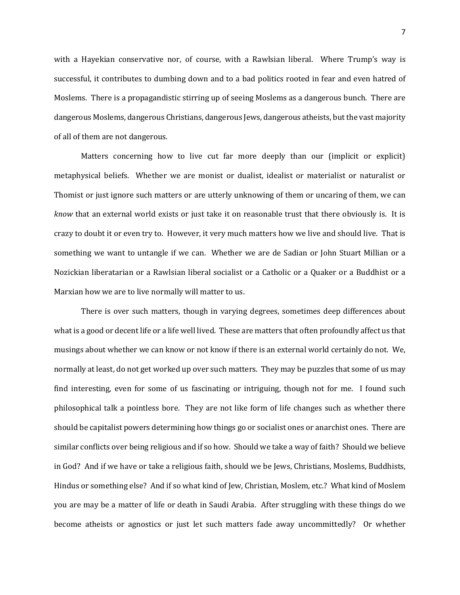with a Hayekian conservative nor, of course, with a Rawlsian liberal. Where Trump's way is successful, it contributes to dumbing down and to a bad politics rooted in fear and even hatred of Moslems. There is a propagandistic stirring up of seeing Moslems as a dangerous bunch. There are dangerous Moslems, dangerous Christians, dangerous Jews, dangerous atheists, but the vast majority of all of them are not dangerous.

Matters concerning how to live cut far more deeply than our (implicit or explicit) metaphysical beliefs. Whether we are monist or dualist, idealist or materialist or naturalist or Thomist or just ignore such matters or are utterly unknowing of them or uncaring of them, we can *know* that an external world exists or just take it on reasonable trust that there obviously is. It is crazy to doubt it or even try to. However, it very much matters how we live and should live. That is something we want to untangle if we can. Whether we are de Sadian or John Stuart Millian or a Nozickian liberatarian or a Rawlsian liberal socialist or a Catholic or a Quaker or a Buddhist or a Marxian how we are to live normally will matter to us.

There is over such matters, though in varying degrees, sometimes deep differences about what is a good or decent life or a life well lived. These are matters that often profoundly affect us that musings about whether we can know or not know if there is an external world certainly do not. We, normally at least, do not get worked up over such matters. They may be puzzles that some of us may find interesting, even for some of us fascinating or intriguing, though not for me. I found such philosophical talk a pointless bore. They are not like form of life changes such as whether there should be capitalist powers determining how things go or socialist ones or anarchist ones. There are similar conflicts over being religious and if so how. Should we take a way of faith? Should we believe in God? And if we have or take a religious faith, should we be Jews, Christians, Moslems, Buddhists, Hindus or something else? And if so what kind of Jew, Christian, Moslem, etc.? What kind of Moslem you are may be a matter of life or death in Saudi Arabia. After struggling with these things do we become atheists or agnostics or just let such matters fade away uncommittedly? Or whether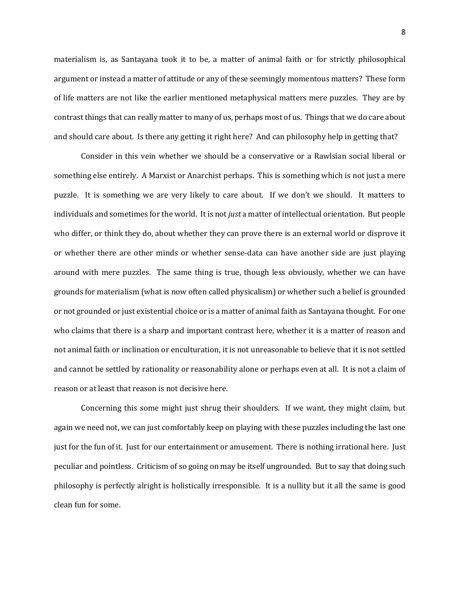materialism is, as Santayana took it to be, a matter of animal faith or for strictly philosophical argument or instead a matter of attitude or any of these seemingly momentous matters? These form of life matters are not like the earlier mentioned metaphysical matters mere puzzles. They are by contrast things that can really matter to many of us, perhaps most of us. Things that we do care about and should care about. Is there any getting it right here? And can philosophy help in getting that?

Consider in this vein whether we should be a conservative or a Rawlsian social liberal or something else entirely. A Marxist or Anarchist perhaps. This is something which is not just a mere puzzle. It is something we are very likely to care about. If we don't we should. It matters to individuals and sometimes for the world. It is not *just* a matter of intellectual orientation. But people who differ, or think they do, about whether they can prove there is an external world or disprove it or whether there are other minds or whether sense-data can have another side are just playing around with mere puzzles. The same thing is true, though less obviously, whether we can have grounds for materialism (what is now often called physicalism) or whether such a belief is grounded or not grounded or just existential choice or is a matter of animal faith as Santayana thought. For one who claims that there is a sharp and important contrast here, whether it is a matter of reason and not animal faith or inclination or enculturation, it is not unreasonable to believe that it is not settled and cannot be settled by rationality or reasonability alone or perhaps even at all. It is not a claim of reason or at least that reason is not decisive here.

Concerning this some might just shrug their shoulders. If we want, they might claim, but again we need not, we can just comfortably keep on playing with these puzzles including the last one just for the fun of it. Just for our entertainment or amusement. There is nothing irrational here. Just peculiar and pointless. Criticism of so going on may be itself ungrounded. But to say that doing such philosophy is perfectly alright is holistically irresponsible. It is a nullity but it all the same is good clean fun for some.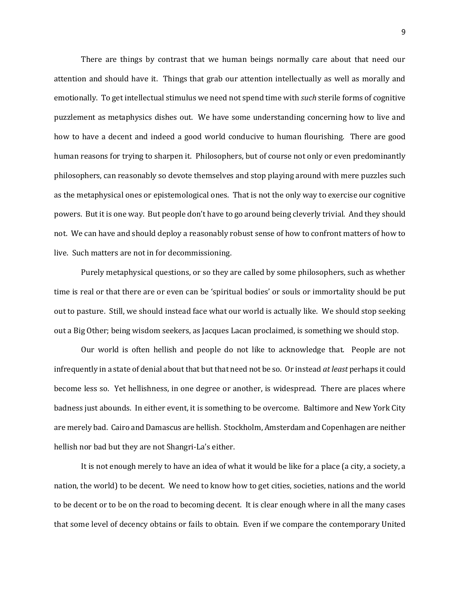There are things by contrast that we human beings normally care about that need our attention and should have it. Things that grab our attention intellectually as well as morally and emotionally. To get intellectual stimulus we need not spend time with *such* sterile forms of cognitive puzzlement as metaphysics dishes out. We have some understanding concerning how to live and how to have a decent and indeed a good world conducive to human flourishing. There are good human reasons for trying to sharpen it. Philosophers, but of course not only or even predominantly philosophers, can reasonably so devote themselves and stop playing around with mere puzzles such as the metaphysical ones or epistemological ones. That is not the only way to exercise our cognitive powers. But it is one way. But people don't have to go around being cleverly trivial. And they should not. We can have and should deploy a reasonably robust sense of how to confront matters of how to live. Such matters are not in for decommissioning.

Purely metaphysical questions, or so they are called by some philosophers, such as whether time is real or that there are or even can be 'spiritual bodies' or souls or immortality should be put out to pasture. Still, we should instead face what our world is actually like. We should stop seeking out a Big Other; being wisdom seekers, as Jacques Lacan proclaimed, is something we should stop.

Our world is often hellish and people do not like to acknowledge that. People are not infrequently in a state of denial about that but that need not be so. Or instead *at least* perhaps it could become less so. Yet hellishness, in one degree or another, is widespread. There are places where badness just abounds. In either event, it is something to be overcome. Baltimore and New York City are merely bad. Cairo and Damascus are hellish. Stockholm, Amsterdam and Copenhagen are neither hellish nor bad but they are not Shangri-La's either.

It is not enough merely to have an idea of what it would be like for a place (a city, a society, a nation, the world) to be decent. We need to know how to get cities, societies, nations and the world to be decent or to be on the road to becoming decent. It is clear enough where in all the many cases that some level of decency obtains or fails to obtain. Even if we compare the contemporary United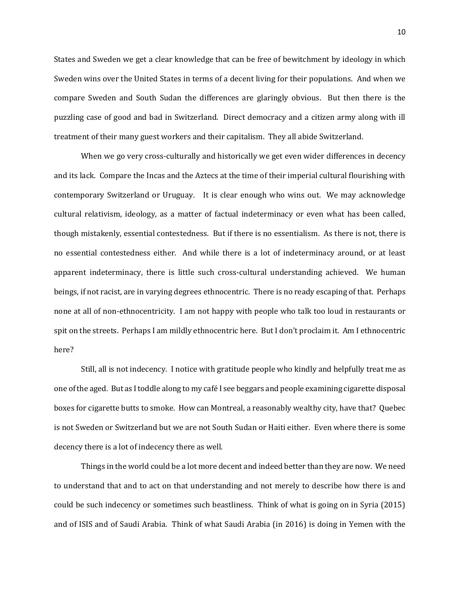States and Sweden we get a clear knowledge that can be free of bewitchment by ideology in which Sweden wins over the United States in terms of a decent living for their populations. And when we compare Sweden and South Sudan the differences are glaringly obvious. But then there is the puzzling case of good and bad in Switzerland. Direct democracy and a citizen army along with ill treatment of their many guest workers and their capitalism. They all abide Switzerland.

When we go very cross-culturally and historically we get even wider differences in decency and its lack. Compare the Incas and the Aztecs at the time of their imperial cultural flourishing with contemporary Switzerland or Uruguay. It is clear enough who wins out. We may acknowledge cultural relativism, ideology, as a matter of factual indeterminacy or even what has been called, though mistakenly, essential contestedness. But if there is no essentialism. As there is not, there is no essential contestedness either. And while there is a lot of indeterminacy around, or at least apparent indeterminacy, there is little such cross-cultural understanding achieved. We human beings, if not racist, are in varying degrees ethnocentric. There is no ready escaping of that. Perhaps none at all of non-ethnocentricity. I am not happy with people who talk too loud in restaurants or spit on the streets. Perhaps I am mildly ethnocentric here. But I don't proclaim it. Am I ethnocentric here?

Still, all is not indecency. I notice with gratitude people who kindly and helpfully treat me as one of the aged. But as I toddle along to my café I see beggars and people examining cigarette disposal boxes for cigarette butts to smoke. How can Montreal, a reasonably wealthy city, have that? Quebec is not Sweden or Switzerland but we are not South Sudan or Haiti either. Even where there is some decency there is a lot of indecency there as well.

Things in the world could be a lot more decent and indeed better than they are now. We need to understand that and to act on that understanding and not merely to describe how there is and could be such indecency or sometimes such beastliness. Think of what is going on in Syria (2015) and of ISIS and of Saudi Arabia. Think of what Saudi Arabia (in 2016) is doing in Yemen with the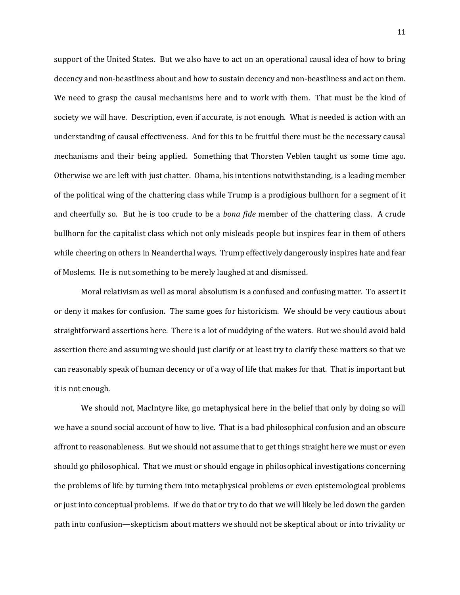support of the United States. But we also have to act on an operational causal idea of how to bring decency and non-beastliness about and how to sustain decency and non-beastliness and act on them. We need to grasp the causal mechanisms here and to work with them. That must be the kind of society we will have. Description, even if accurate, is not enough. What is needed is action with an understanding of causal effectiveness. And for this to be fruitful there must be the necessary causal mechanisms and their being applied. Something that Thorsten Veblen taught us some time ago. Otherwise we are left with just chatter. Obama, his intentions notwithstanding, is a leading member of the political wing of the chattering class while Trump is a prodigious bullhorn for a segment of it and cheerfully so. But he is too crude to be a *bona fide* member of the chattering class. A crude bullhorn for the capitalist class which not only misleads people but inspires fear in them of others while cheering on others in Neanderthal ways. Trump effectively dangerously inspires hate and fear of Moslems. He is not something to be merely laughed at and dismissed.

Moral relativism as well as moral absolutism is a confused and confusing matter. To assert it or deny it makes for confusion. The same goes for historicism. We should be very cautious about straightforward assertions here. There is a lot of muddying of the waters. But we should avoid bald assertion there and assuming we should just clarify or at least try to clarify these matters so that we can reasonably speak of human decency or of a way of life that makes for that. That is important but it is not enough.

We should not, MacIntyre like, go metaphysical here in the belief that only by doing so will we have a sound social account of how to live. That is a bad philosophical confusion and an obscure affront to reasonableness. But we should not assume that to get things straight here we must or even should go philosophical. That we must or should engage in philosophical investigations concerning the problems of life by turning them into metaphysical problems or even epistemological problems or just into conceptual problems. If we do that or try to do that we will likely be led down the garden path into confusion—skepticism about matters we should not be skeptical about or into triviality or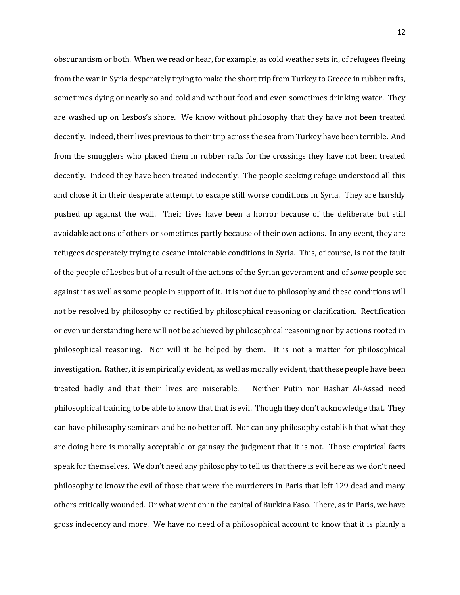obscurantism or both. When we read or hear, for example, as cold weather sets in, of refugees fleeing from the war in Syria desperately trying to make the short trip from Turkey to Greece in rubber rafts, sometimes dying or nearly so and cold and without food and even sometimes drinking water. They are washed up on Lesbos's shore. We know without philosophy that they have not been treated decently. Indeed, their lives previous to their trip across the sea from Turkey have been terrible. And from the smugglers who placed them in rubber rafts for the crossings they have not been treated decently. Indeed they have been treated indecently. The people seeking refuge understood all this and chose it in their desperate attempt to escape still worse conditions in Syria. They are harshly pushed up against the wall. Their lives have been a horror because of the deliberate but still avoidable actions of others or sometimes partly because of their own actions. In any event, they are refugees desperately trying to escape intolerable conditions in Syria. This, of course, is not the fault of the people of Lesbos but of a result of the actions of the Syrian government and of *some* people set against it as well as some people in support of it. It is not due to philosophy and these conditions will not be resolved by philosophy or rectified by philosophical reasoning or clarification. Rectification or even understanding here will not be achieved by philosophical reasoning nor by actions rooted in philosophical reasoning. Nor will it be helped by them. It is not a matter for philosophical investigation. Rather, it is empirically evident, as well as morally evident, that these people have been treated badly and that their lives are miserable. Neither Putin nor Bashar Al-Assad need philosophical training to be able to know that that is evil. Though they don't acknowledge that. They can have philosophy seminars and be no better off. Nor can any philosophy establish that what they are doing here is morally acceptable or gainsay the judgment that it is not. Those empirical facts speak for themselves. We don't need any philosophy to tell us that there is evil here as we don't need philosophy to know the evil of those that were the murderers in Paris that left 129 dead and many others critically wounded. Or what went on in the capital of Burkina Faso. There, as in Paris, we have gross indecency and more. We have no need of a philosophical account to know that it is plainly a